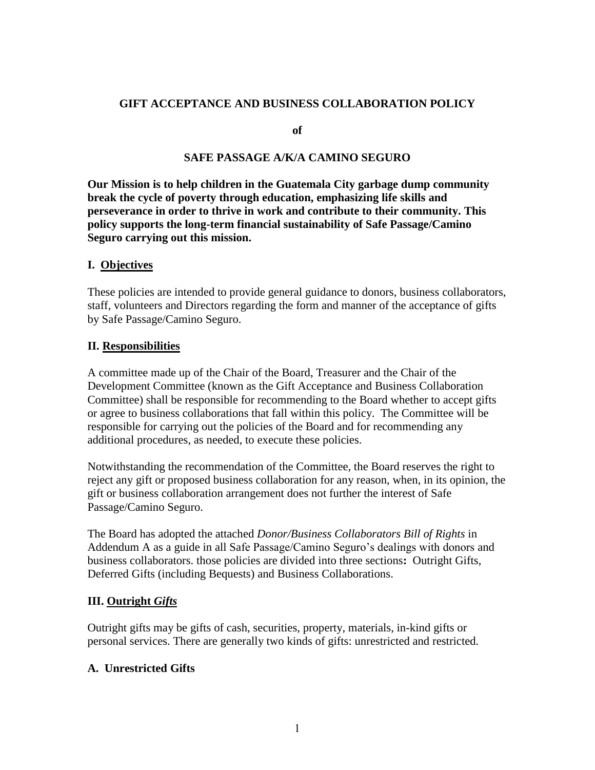### **GIFT ACCEPTANCE AND BUSINESS COLLABORATION POLICY**

**of** 

### **SAFE PASSAGE A/K/A CAMINO SEGURO**

**Our Mission is to help children in the Guatemala City garbage dump community break the cycle of poverty through education, emphasizing life skills and perseverance in order to thrive in work and contribute to their community. This policy supports the long-term financial sustainability of Safe Passage/Camino Seguro carrying out this mission.**

#### **I. Objectives**

These policies are intended to provide general guidance to donors, business collaborators, staff, volunteers and Directors regarding the form and manner of the acceptance of gifts by Safe Passage/Camino Seguro.

#### **II. Responsibilities**

A committee made up of the Chair of the Board, Treasurer and the Chair of the Development Committee (known as the Gift Acceptance and Business Collaboration Committee) shall be responsible for recommending to the Board whether to accept gifts or agree to business collaborations that fall within this policy. The Committee will be responsible for carrying out the policies of the Board and for recommending any additional procedures, as needed, to execute these policies.

Notwithstanding the recommendation of the Committee, the Board reserves the right to reject any gift or proposed business collaboration for any reason, when, in its opinion, the gift or business collaboration arrangement does not further the interest of Safe Passage/Camino Seguro.

The Board has adopted the attached *Donor/Business Collaborators Bill of Rights* in Addendum A as a guide in all Safe Passage/Camino Seguro's dealings with donors and business collaborators. those policies are divided into three sections**:** Outright Gifts, Deferred Gifts (including Bequests) and Business Collaborations.

#### **III. Outright** *Gifts*

Outright gifts may be gifts of cash, securities, property, materials, in-kind gifts or personal services. There are generally two kinds of gifts: unrestricted and restricted.

#### **A. Unrestricted Gifts**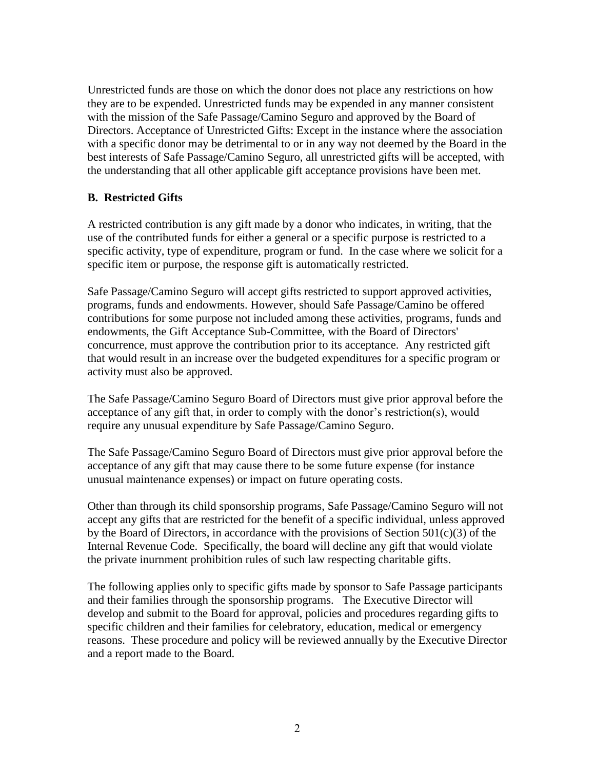Unrestricted funds are those on which the donor does not place any restrictions on how they are to be expended. Unrestricted funds may be expended in any manner consistent with the mission of the Safe Passage/Camino Seguro and approved by the Board of Directors. Acceptance of Unrestricted Gifts: Except in the instance where the association with a specific donor may be detrimental to or in any way not deemed by the Board in the best interests of Safe Passage/Camino Seguro, all unrestricted gifts will be accepted, with the understanding that all other applicable gift acceptance provisions have been met.

## **B. Restricted Gifts**

A restricted contribution is any gift made by a donor who indicates, in writing, that the use of the contributed funds for either a general or a specific purpose is restricted to a specific activity, type of expenditure, program or fund. In the case where we solicit for a specific item or purpose, the response gift is automatically restricted.

Safe Passage/Camino Seguro will accept gifts restricted to support approved activities, programs, funds and endowments. However, should Safe Passage/Camino be offered contributions for some purpose not included among these activities, programs, funds and endowments, the Gift Acceptance Sub-Committee, with the Board of Directors' concurrence, must approve the contribution prior to its acceptance. Any restricted gift that would result in an increase over the budgeted expenditures for a specific program or activity must also be approved.

The Safe Passage/Camino Seguro Board of Directors must give prior approval before the acceptance of any gift that, in order to comply with the donor's restriction(s), would require any unusual expenditure by Safe Passage/Camino Seguro.

The Safe Passage/Camino Seguro Board of Directors must give prior approval before the acceptance of any gift that may cause there to be some future expense (for instance unusual maintenance expenses) or impact on future operating costs.

Other than through its child sponsorship programs, Safe Passage/Camino Seguro will not accept any gifts that are restricted for the benefit of a specific individual, unless approved by the Board of Directors, in accordance with the provisions of Section  $501(c)(3)$  of the Internal Revenue Code. Specifically, the board will decline any gift that would violate the private inurnment prohibition rules of such law respecting charitable gifts.

The following applies only to specific gifts made by sponsor to Safe Passage participants and their families through the sponsorship programs. The Executive Director will develop and submit to the Board for approval, policies and procedures regarding gifts to specific children and their families for celebratory, education, medical or emergency reasons. These procedure and policy will be reviewed annually by the Executive Director and a report made to the Board.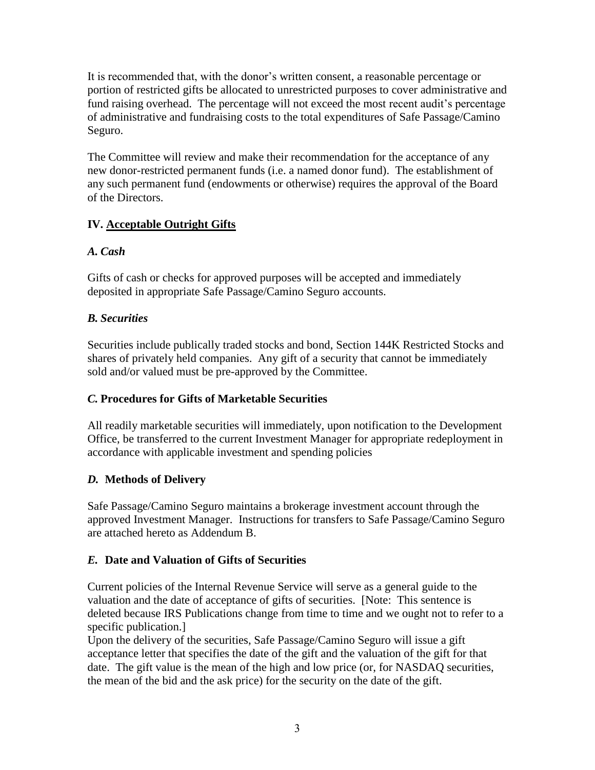It is recommended that, with the donor's written consent, a reasonable percentage or portion of restricted gifts be allocated to unrestricted purposes to cover administrative and fund raising overhead. The percentage will not exceed the most recent audit's percentage of administrative and fundraising costs to the total expenditures of Safe Passage/Camino Seguro.

The Committee will review and make their recommendation for the acceptance of any new donor-restricted permanent funds (i.e. a named donor fund). The establishment of any such permanent fund (endowments or otherwise) requires the approval of the Board of the Directors.

# **IV. Acceptable Outright Gifts**

# *A. Cash*

Gifts of cash or checks for approved purposes will be accepted and immediately deposited in appropriate Safe Passage/Camino Seguro accounts.

# *B. Securities*

Securities include publically traded stocks and bond, Section 144K Restricted Stocks and shares of privately held companies. Any gift of a security that cannot be immediately sold and/or valued must be pre-approved by the Committee.

# *C.* **Procedures for Gifts of Marketable Securities**

All readily marketable securities will immediately, upon notification to the Development Office, be transferred to the current Investment Manager for appropriate redeployment in accordance with applicable investment and spending policies

# *D.* **Methods of Delivery**

Safe Passage/Camino Seguro maintains a brokerage investment account through the approved Investment Manager. Instructions for transfers to Safe Passage/Camino Seguro are attached hereto as Addendum B.

# *E.* **Date and Valuation of Gifts of Securities**

Current policies of the Internal Revenue Service will serve as a general guide to the valuation and the date of acceptance of gifts of securities. [Note: This sentence is deleted because IRS Publications change from time to time and we ought not to refer to a specific publication.]

Upon the delivery of the securities, Safe Passage/Camino Seguro will issue a gift acceptance letter that specifies the date of the gift and the valuation of the gift for that date. The gift value is the mean of the high and low price (or, for NASDAQ securities, the mean of the bid and the ask price) for the security on the date of the gift.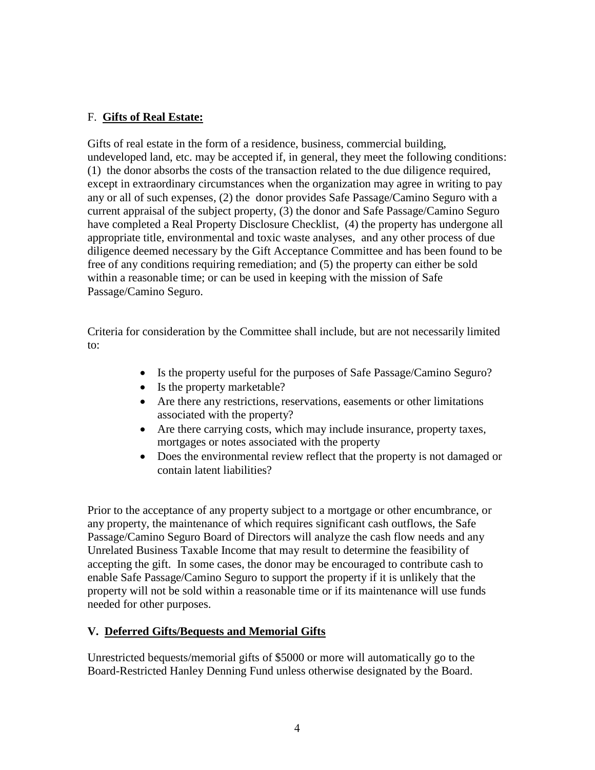## F. **Gifts of Real Estate:**

Gifts of real estate in the form of a residence, business, commercial building, undeveloped land, etc. may be accepted if, in general, they meet the following conditions: (1) the donor absorbs the costs of the transaction related to the due diligence required, except in extraordinary circumstances when the organization may agree in writing to pay any or all of such expenses, (2) the donor provides Safe Passage/Camino Seguro with a current appraisal of the subject property, (3) the donor and Safe Passage/Camino Seguro have completed a Real Property Disclosure Checklist, (4) the property has undergone all appropriate title, environmental and toxic waste analyses, and any other process of due diligence deemed necessary by the Gift Acceptance Committee and has been found to be free of any conditions requiring remediation; and (5) the property can either be sold within a reasonable time; or can be used in keeping with the mission of Safe Passage/Camino Seguro.

Criteria for consideration by the Committee shall include, but are not necessarily limited to:

- Is the property useful for the purposes of Safe Passage/Camino Seguro?
- Is the property marketable?
- Are there any restrictions, reservations, easements or other limitations associated with the property?
- Are there carrying costs, which may include insurance, property taxes, mortgages or notes associated with the property
- Does the environmental review reflect that the property is not damaged or contain latent liabilities?

Prior to the acceptance of any property subject to a mortgage or other encumbrance, or any property, the maintenance of which requires significant cash outflows, the Safe Passage/Camino Seguro Board of Directors will analyze the cash flow needs and any Unrelated Business Taxable Income that may result to determine the feasibility of accepting the gift. In some cases, the donor may be encouraged to contribute cash to enable Safe Passage/Camino Seguro to support the property if it is unlikely that the property will not be sold within a reasonable time or if its maintenance will use funds needed for other purposes.

## **V. Deferred Gifts/Bequests and Memorial Gifts**

Unrestricted bequests/memorial gifts of \$5000 or more will automatically go to the Board-Restricted Hanley Denning Fund unless otherwise designated by the Board.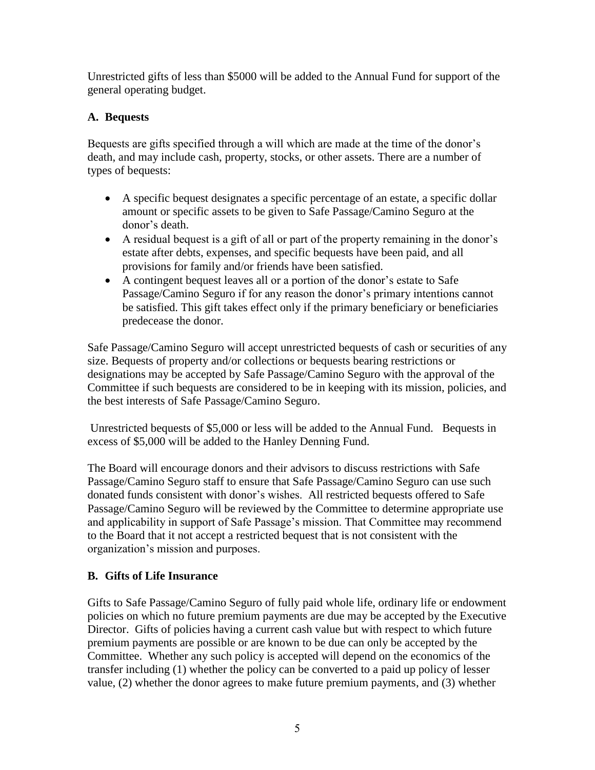Unrestricted gifts of less than \$5000 will be added to the Annual Fund for support of the general operating budget.

# **A. Bequests**

Bequests are gifts specified through a will which are made at the time of the donor's death, and may include cash, property, stocks, or other assets. There are a number of types of bequests:

- A specific bequest designates a specific percentage of an estate, a specific dollar amount or specific assets to be given to Safe Passage/Camino Seguro at the donor's death.
- A residual bequest is a gift of all or part of the property remaining in the donor's estate after debts, expenses, and specific bequests have been paid, and all provisions for family and/or friends have been satisfied.
- A contingent bequest leaves all or a portion of the donor's estate to Safe Passage/Camino Seguro if for any reason the donor's primary intentions cannot be satisfied. This gift takes effect only if the primary beneficiary or beneficiaries predecease the donor.

Safe Passage/Camino Seguro will accept unrestricted bequests of cash or securities of any size. Bequests of property and/or collections or bequests bearing restrictions or designations may be accepted by Safe Passage/Camino Seguro with the approval of the Committee if such bequests are considered to be in keeping with its mission, policies, and the best interests of Safe Passage/Camino Seguro.

Unrestricted bequests of \$5,000 or less will be added to the Annual Fund. Bequests in excess of \$5,000 will be added to the Hanley Denning Fund.

The Board will encourage donors and their advisors to discuss restrictions with Safe Passage/Camino Seguro staff to ensure that Safe Passage/Camino Seguro can use such donated funds consistent with donor's wishes. All restricted bequests offered to Safe Passage/Camino Seguro will be reviewed by the Committee to determine appropriate use and applicability in support of Safe Passage's mission. That Committee may recommend to the Board that it not accept a restricted bequest that is not consistent with the organization's mission and purposes.

# **B. Gifts of Life Insurance**

Gifts to Safe Passage/Camino Seguro of fully paid whole life, ordinary life or endowment policies on which no future premium payments are due may be accepted by the Executive Director. Gifts of policies having a current cash value but with respect to which future premium payments are possible or are known to be due can only be accepted by the Committee. Whether any such policy is accepted will depend on the economics of the transfer including (1) whether the policy can be converted to a paid up policy of lesser value, (2) whether the donor agrees to make future premium payments, and (3) whether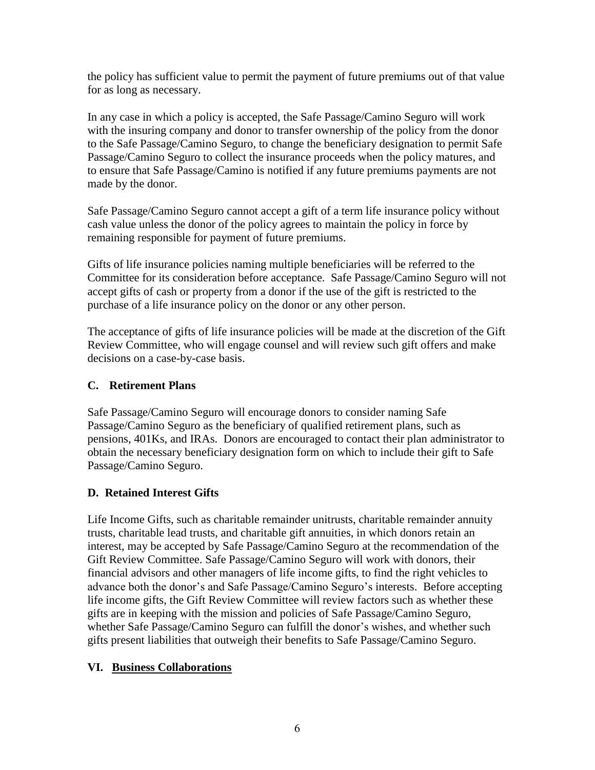the policy has sufficient value to permit the payment of future premiums out of that value for as long as necessary.

In any case in which a policy is accepted, the Safe Passage/Camino Seguro will work with the insuring company and donor to transfer ownership of the policy from the donor to the Safe Passage/Camino Seguro, to change the beneficiary designation to permit Safe Passage/Camino Seguro to collect the insurance proceeds when the policy matures, and to ensure that Safe Passage/Camino is notified if any future premiums payments are not made by the donor.

Safe Passage/Camino Seguro cannot accept a gift of a term life insurance policy without cash value unless the donor of the policy agrees to maintain the policy in force by remaining responsible for payment of future premiums.

Gifts of life insurance policies naming multiple beneficiaries will be referred to the Committee for its consideration before acceptance. Safe Passage/Camino Seguro will not accept gifts of cash or property from a donor if the use of the gift is restricted to the purchase of a life insurance policy on the donor or any other person.

The acceptance of gifts of life insurance policies will be made at the discretion of the Gift Review Committee, who will engage counsel and will review such gift offers and make decisions on a case-by-case basis.

# **C. Retirement Plans**

Safe Passage/Camino Seguro will encourage donors to consider naming Safe Passage/Camino Seguro as the beneficiary of qualified retirement plans, such as pensions, 401Ks, and IRAs. Donors are encouraged to contact their plan administrator to obtain the necessary beneficiary designation form on which to include their gift to Safe Passage/Camino Seguro.

# **D. Retained Interest Gifts**

Life Income Gifts, such as charitable remainder unitrusts, charitable remainder annuity trusts, charitable lead trusts, and charitable gift annuities, in which donors retain an interest, may be accepted by Safe Passage/Camino Seguro at the recommendation of the Gift Review Committee. Safe Passage/Camino Seguro will work with donors, their financial advisors and other managers of life income gifts, to find the right vehicles to advance both the donor's and Safe Passage/Camino Seguro's interests. Before accepting life income gifts, the Gift Review Committee will review factors such as whether these gifts are in keeping with the mission and policies of Safe Passage/Camino Seguro, whether Safe Passage/Camino Seguro can fulfill the donor's wishes, and whether such gifts present liabilities that outweigh their benefits to Safe Passage/Camino Seguro.

# **VI. Business Collaborations**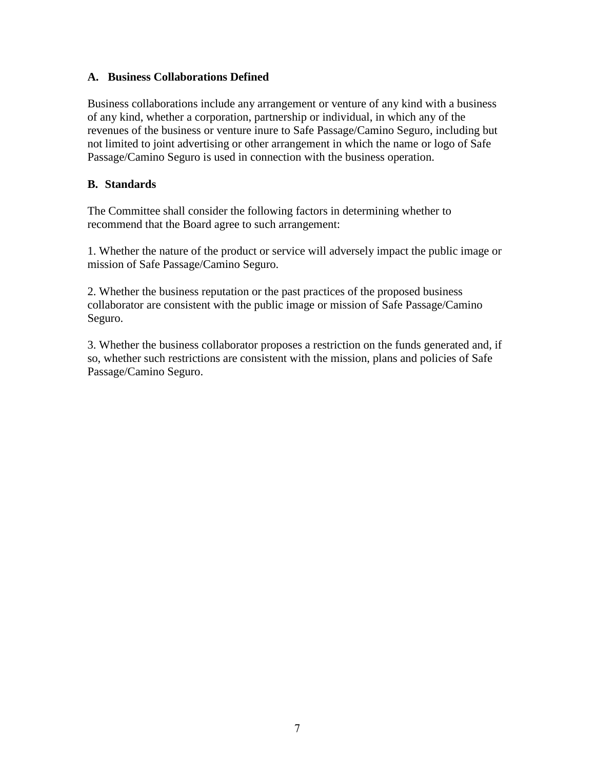### **A. Business Collaborations Defined**

Business collaborations include any arrangement or venture of any kind with a business of any kind, whether a corporation, partnership or individual, in which any of the revenues of the business or venture inure to Safe Passage/Camino Seguro, including but not limited to joint advertising or other arrangement in which the name or logo of Safe Passage/Camino Seguro is used in connection with the business operation.

## **B. Standards**

The Committee shall consider the following factors in determining whether to recommend that the Board agree to such arrangement:

1. Whether the nature of the product or service will adversely impact the public image or mission of Safe Passage/Camino Seguro.

2. Whether the business reputation or the past practices of the proposed business collaborator are consistent with the public image or mission of Safe Passage/Camino Seguro.

3. Whether the business collaborator proposes a restriction on the funds generated and, if so, whether such restrictions are consistent with the mission, plans and policies of Safe Passage/Camino Seguro.